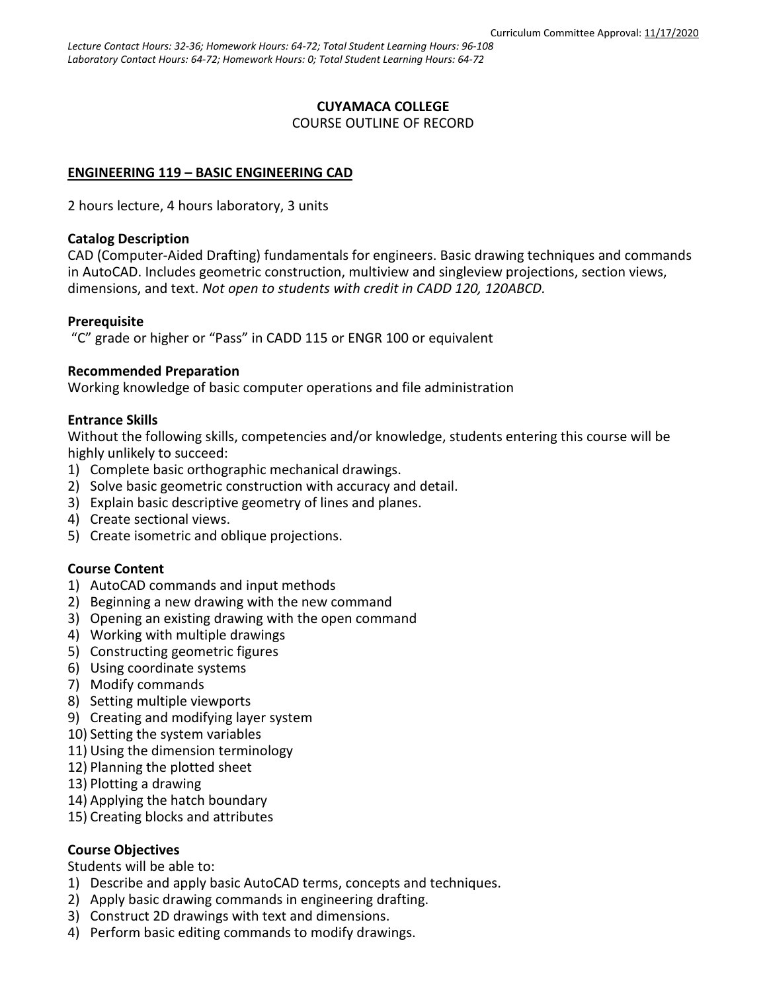#### **CUYAMACA COLLEGE** COURSE OUTLINE OF RECORD

# **ENGINEERING 119 – BASIC ENGINEERING CAD**

2 hours lecture, 4 hours laboratory, 3 units

### **Catalog Description**

CAD (Computer-Aided Drafting) fundamentals for engineers. Basic drawing techniques and commands in AutoCAD. Includes geometric construction, multiview and singleview projections, section views, dimensions, and text. *Not open to students with credit in CADD 120, 120ABCD.*

### **Prerequisite**

"C" grade or higher or "Pass" in CADD 115 or ENGR 100 or equivalent

### **Recommended Preparation**

Working knowledge of basic computer operations and file administration

### **Entrance Skills**

Without the following skills, competencies and/or knowledge, students entering this course will be highly unlikely to succeed:

- 1) Complete basic orthographic mechanical drawings.
- 2) Solve basic geometric construction with accuracy and detail.
- 3) Explain basic descriptive geometry of lines and planes.
- 4) Create sectional views.
- 5) Create isometric and oblique projections.

# **Course Content**

- 1) AutoCAD commands and input methods
- 2) Beginning a new drawing with the new command
- 3) Opening an existing drawing with the open command
- 4) Working with multiple drawings
- 5) Constructing geometric figures
- 6) Using coordinate systems
- 7) Modify commands
- 8) Setting multiple viewports
- 9) Creating and modifying layer system
- 10) Setting the system variables
- 11) Using the dimension terminology
- 12) Planning the plotted sheet
- 13) Plotting a drawing
- 14) Applying the hatch boundary
- 15) Creating blocks and attributes

# **Course Objectives**

#### Students will be able to:

- 1) Describe and apply basic AutoCAD terms, concepts and techniques.
- 2) Apply basic drawing commands in engineering drafting.
- 3) Construct 2D drawings with text and dimensions.
- 4) Perform basic editing commands to modify drawings.